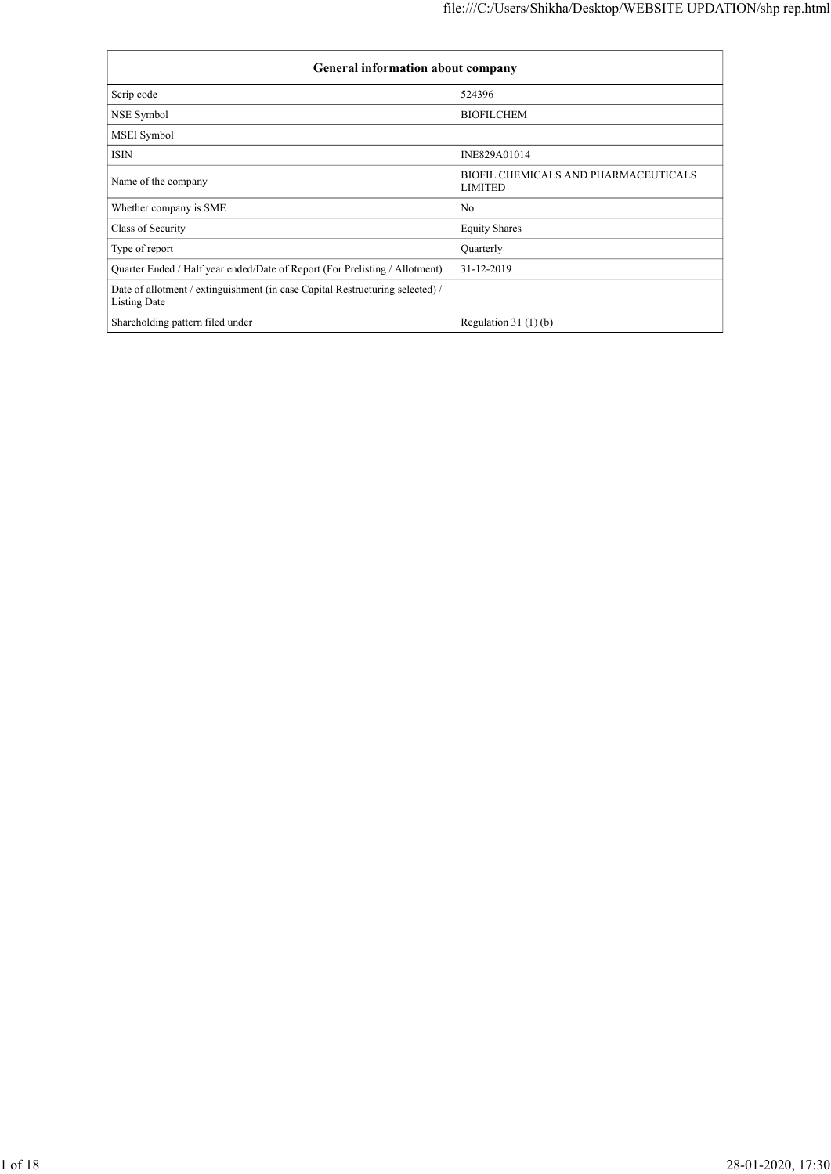|                                                                                                      | file:///C:/Users/Shikha/Desktop/WEBSITE UPDATION/shp rep.html |
|------------------------------------------------------------------------------------------------------|---------------------------------------------------------------|
|                                                                                                      |                                                               |
| General information about company                                                                    |                                                               |
| Scrip code                                                                                           | 524396                                                        |
| NSE Symbol                                                                                           | <b>BIOFILCHEM</b>                                             |
| MSEI Symbol                                                                                          |                                                               |
|                                                                                                      |                                                               |
| $\mathop{\rm ISIN}\nolimits$                                                                         | INE829A01014                                                  |
| Name of the company                                                                                  | BIOFIL CHEMICALS AND PHARMACEUTICALS<br><b>LIMITED</b>        |
| Whether company is SME                                                                               | No                                                            |
| Class of Security                                                                                    | <b>Equity Shares</b>                                          |
| Type of report                                                                                       | Quarterly                                                     |
| Quarter Ended / Half year ended/Date of Report (For Prelisting / Allotment)                          | 31-12-2019                                                    |
| Date of allotment / extinguishment (in case Capital Restructuring selected) /<br><b>Listing Date</b> |                                                               |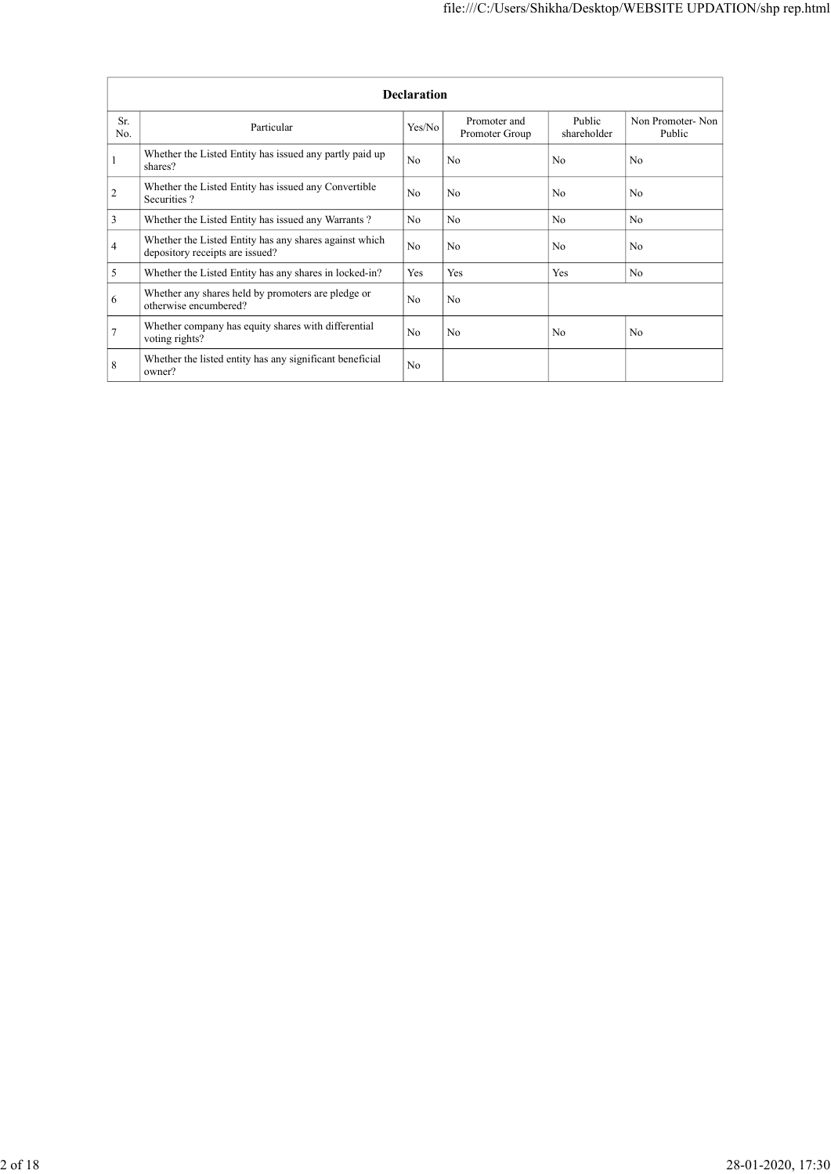|                                  |                                                                                           |                    | file:///C:/Users/Shikha/Desktop/WEBSITE UPDATION/shp rep.html |                |                  |
|----------------------------------|-------------------------------------------------------------------------------------------|--------------------|---------------------------------------------------------------|----------------|------------------|
|                                  |                                                                                           |                    |                                                               |                |                  |
|                                  |                                                                                           |                    |                                                               |                |                  |
|                                  |                                                                                           | <b>Declaration</b> |                                                               |                |                  |
| Sr.                              |                                                                                           |                    | Promoter and                                                  | Public         | Non Promoter-Non |
| No.                              | Particular                                                                                | Yes/No             | Promoter Group                                                | shareholder    | Public           |
| $\mathbf{1}$                     | Whether the Listed Entity has issued any partly paid up<br>shares?                        | N <sub>o</sub>     | No                                                            | N <sub>o</sub> | N <sub>o</sub>   |
|                                  | Whether the Listed Entity has issued any Convertible<br>Securities?                       | No                 | No                                                            | No             | No               |
| $\sqrt{2}$                       |                                                                                           |                    |                                                               |                |                  |
|                                  | Whether the Listed Entity has issued any Warrants?                                        | N <sub>o</sub>     | N <sub>o</sub>                                                | N <sub>o</sub> | No               |
| $\mathfrak{Z}$<br>$\overline{4}$ | Whether the Listed Entity has any shares against which<br>depository receipts are issued? | No                 | No                                                            | No             | No               |
| $\mathfrak{S}$                   | Whether the Listed Entity has any shares in locked-in?                                    | Yes                | Yes                                                           | Yes            | No               |
| $\sqrt{6}$                       | Whether any shares held by promoters are pledge or<br>otherwise encumbered?               | $\rm No$           | No                                                            |                |                  |
| $\overline{7}$                   | Whether company has equity shares with differential<br>voting rights?                     | No                 | $\rm No$                                                      | No             | $\rm No$         |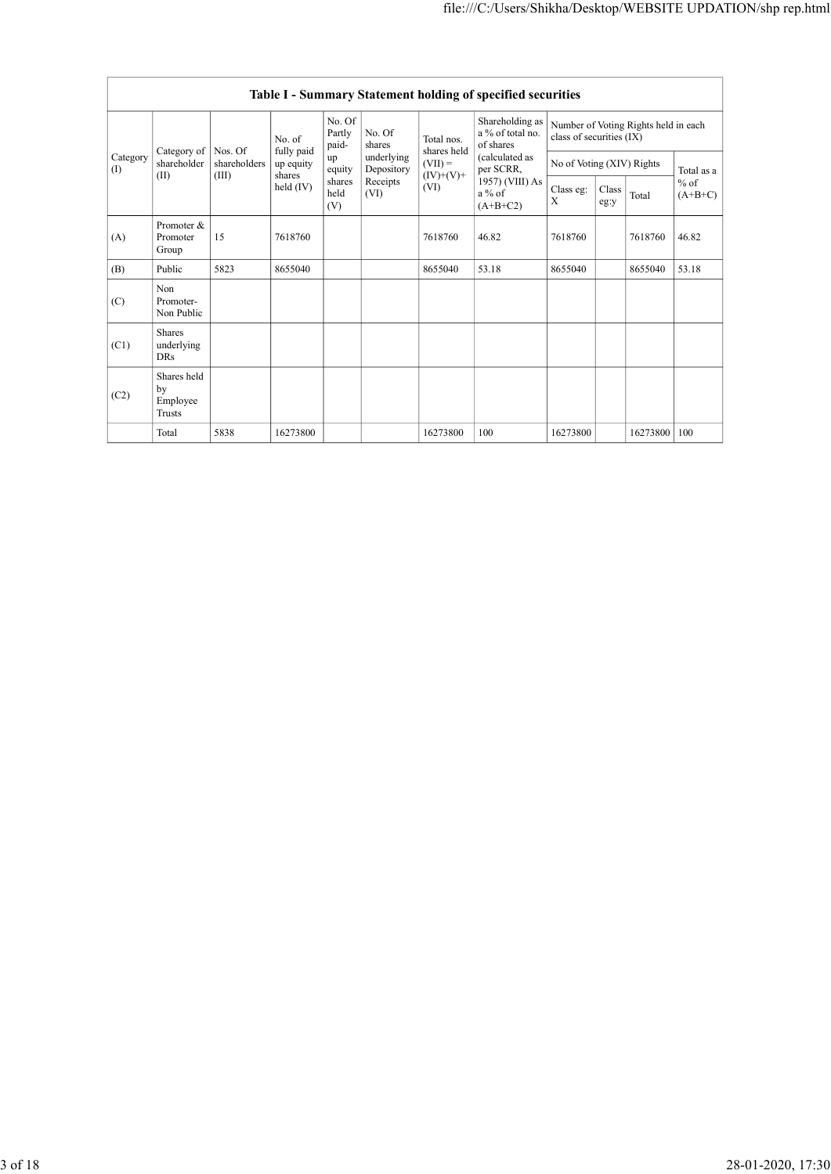|                         |                                    |                       |                                  |                           |                                      |                                                             | Table I - Summary Statement holding of specified securities |                                        |       |                                      |                       |
|-------------------------|------------------------------------|-----------------------|----------------------------------|---------------------------|--------------------------------------|-------------------------------------------------------------|-------------------------------------------------------------|----------------------------------------|-------|--------------------------------------|-----------------------|
|                         | Category of   Nos. Of              |                       | No. of<br>fully paid             | No. Of<br>Partly<br>paid- | No. Of<br>shares                     | Total nos.<br>shares held                                   | Shareholding as<br>a % of total no.<br>of shares            | class of securities (IX)               |       | Number of Voting Rights held in each |                       |
| Category<br>$\vert$ (I) | shareholder<br>(II)                | shareholders<br>(III) | up equity<br>shares<br>held (IV) | up<br>equity<br>shares    | underlying<br>Depository<br>Receipts | $ $ (VII) =<br>$\dot{(\text{IV})}$ + $(\text{V})$ +<br>(VI) | (calculated as<br>per SCRR,<br>$1957)$ (VIII) As            | No of Voting (XIV) Rights<br>Class eg: | Class |                                      | Total as a<br>$\%$ of |
|                         |                                    |                       |                                  | held<br>(V)               | (VI)                                 |                                                             | a $\%$ of<br>$(A+B+C2)$                                     | $\mathbf X$                            | eg:y  | Total                                | $(A+B+C)$             |
| (A)                     | Promoter &<br>Promoter<br>Group    | $15\,$                | 7618760                          |                           |                                      | 7618760                                                     | 46.82                                                       | 7618760                                |       | 7618760                              | 46.82                 |
| (B)                     | Public                             | 5823                  | 8655040                          |                           |                                      | 8655040                                                     | 53.18                                                       | 8655040                                |       | 8655040                              | 53.18                 |
| (C)                     | Non<br>Promoter-<br>Non Public     |                       |                                  |                           |                                      |                                                             |                                                             |                                        |       |                                      |                       |
| (C1)                    | Shares<br>underlying<br><b>DRs</b> |                       |                                  |                           |                                      |                                                             |                                                             |                                        |       |                                      |                       |
| (C2)                    | Shares held<br>by<br>Employee      |                       |                                  |                           |                                      |                                                             |                                                             |                                        |       |                                      |                       |
|                         | Trusts<br>Total                    | 5838                  | 16273800                         |                           |                                      | 16273800                                                    | $100\,$                                                     | 16273800                               |       | 16273800 100                         |                       |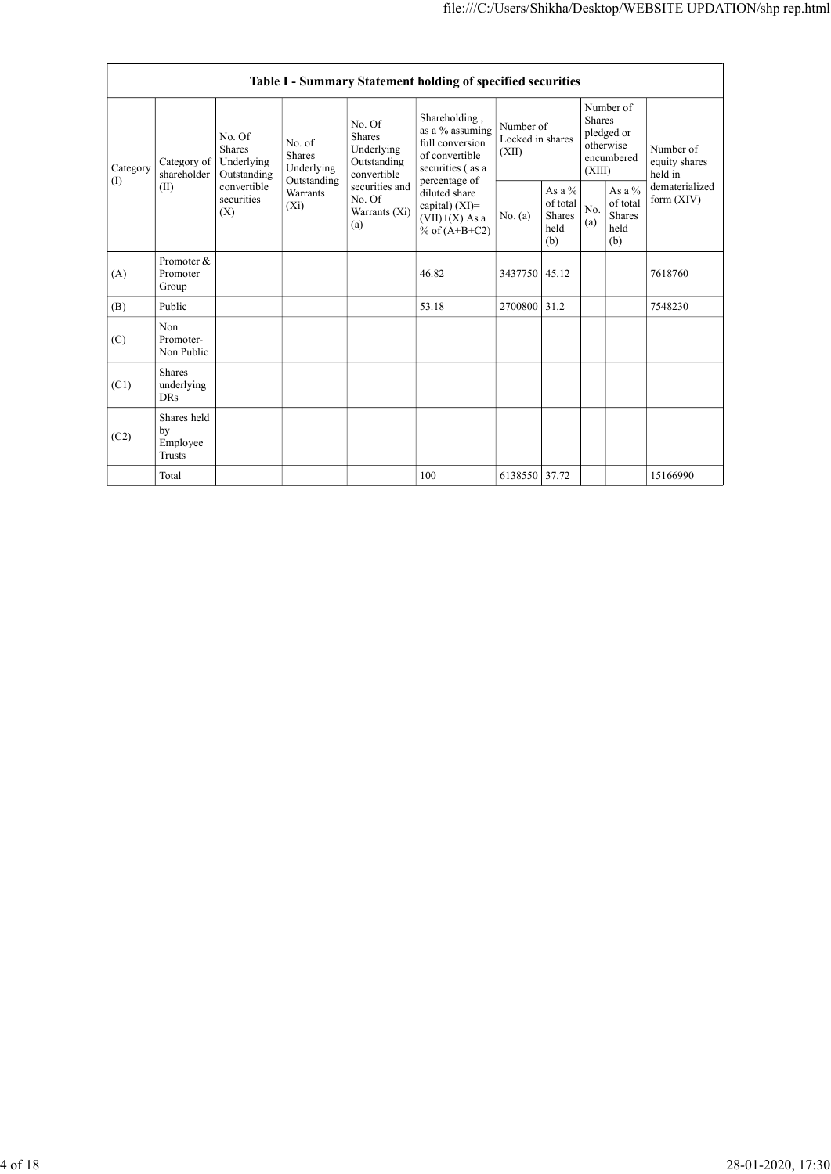|                 |                                         |                                               |                                               |                                                              | Table I - Summary Statement holding of specified securities                                                |                                        |                                                |                  |                                                    |                                       |
|-----------------|-----------------------------------------|-----------------------------------------------|-----------------------------------------------|--------------------------------------------------------------|------------------------------------------------------------------------------------------------------------|----------------------------------------|------------------------------------------------|------------------|----------------------------------------------------|---------------------------------------|
| Category<br>(I) | Category of<br>shareholder              | No. Of<br>Shares<br>Underlying<br>Outstanding | No. of<br>Shares<br>Underlying<br>Outstanding | No. Of<br>Shares<br>Underlying<br>Outstanding<br>convertible | Shareholding,<br>as a % assuming<br>full conversion<br>of convertible<br>securities (as a<br>percentage of | Number of<br>Locked in shares<br>(XII) |                                                | Shares<br>(XIII) | Number of<br>pledged or<br>otherwise<br>encumbered | Number of<br>equity shares<br>held in |
|                 | (II)                                    | convertible<br>securities<br>(X)              | Warrants<br>$(X_i)$                           | securities and<br>No. Of<br>Warrants (Xi)<br>(a)             | diluted share<br>capital) (XI)=<br>$(VII)+(X)$ As a<br>% of $(A+B+C2)$                                     | No. (a)                                | As a $\%$<br>of total<br>Shares<br>held<br>(b) | No.<br>(a)       | As a $\%$<br>of total<br>Shares<br>held<br>(b)     | dematerialized<br>form $(XIV)$        |
| (A)             | Promoter &<br>Promoter<br>Group         |                                               |                                               |                                                              | 46.82                                                                                                      | 3437750 45.12                          |                                                |                  |                                                    | 7618760                               |
| (B)             | Public                                  |                                               |                                               |                                                              | 53.18                                                                                                      | 2700800 31.2                           |                                                |                  |                                                    | 7548230                               |
| (C)             | Non<br>Promoter-<br>Non Public          |                                               |                                               |                                                              |                                                                                                            |                                        |                                                |                  |                                                    |                                       |
| (C1)            | Shares<br>underlying<br><b>DRs</b>      |                                               |                                               |                                                              |                                                                                                            |                                        |                                                |                  |                                                    |                                       |
| (C2)            | Shares held<br>by<br>Employee<br>Trusts |                                               |                                               |                                                              |                                                                                                            |                                        |                                                |                  |                                                    |                                       |
|                 | Total                                   |                                               |                                               |                                                              | 100                                                                                                        | 6138550 37.72                          |                                                |                  |                                                    | 15166990                              |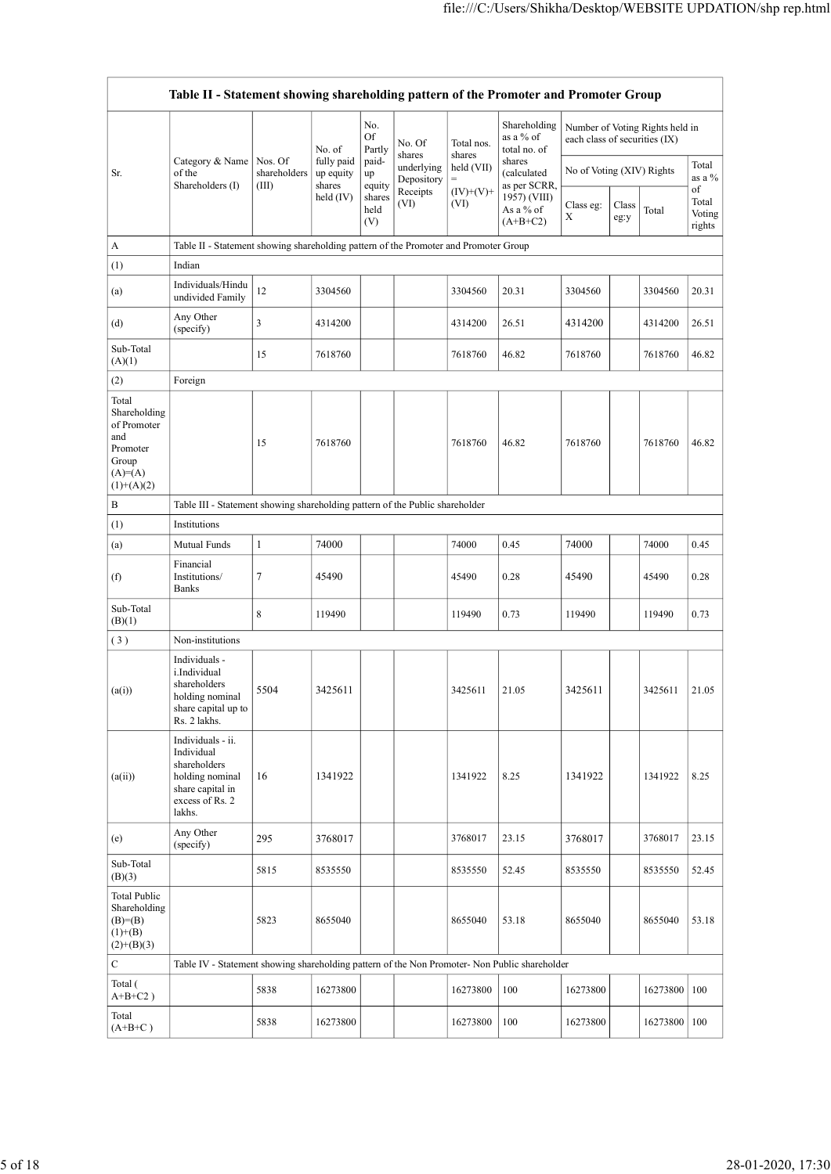|                                                                                               |                                                                                                                     |                       |                                  |                                                      |                                              |                                          | file:///C:/Users/Shikha/Desktop/WEBSITE UPDATION/shp rep.html               |                |                                                                  |              |                                              |
|-----------------------------------------------------------------------------------------------|---------------------------------------------------------------------------------------------------------------------|-----------------------|----------------------------------|------------------------------------------------------|----------------------------------------------|------------------------------------------|-----------------------------------------------------------------------------|----------------|------------------------------------------------------------------|--------------|----------------------------------------------|
|                                                                                               | Table II - Statement showing shareholding pattern of the Promoter and Promoter Group                                |                       |                                  |                                                      |                                              |                                          |                                                                             |                |                                                                  |              |                                              |
|                                                                                               | Category & Name   Nos. Of                                                                                           |                       | No. of<br>fully paid             | No.<br>$\mathop{\rm Of}\nolimits$<br>Partly<br>paid- | No. Of<br>shares                             | Total nos.<br>shares                     | Shareholding<br>as a $\%$ of<br>total no. of<br>shares                      |                | Number of Voting Rights held in<br>each class of securities (IX) |              | Total                                        |
| Sr.                                                                                           | of the<br>Shareholders (I)                                                                                          | shareholders<br>(III) | up equity<br>shares<br>held (IV) | $\rm up$<br>equity<br>shares<br>held<br>(V)          | underlying<br>Depository<br>Receipts<br>(VI) | held (VII)<br>$=$<br>$(IV)+(V)+$<br>(VI) | (calculated<br>as per SCRR,<br>$1957)$ (VIII)<br>As a $\%$ of<br>$(A+B+C2)$ | Class eg:<br>X | No of Voting (XIV) Rights<br>$\rm Class$<br>Total<br>eg:y        |              | as a $\%$<br>of<br>Total<br>Voting<br>rights |
| $\mathbf A$                                                                                   | Table II - Statement showing shareholding pattern of the Promoter and Promoter Group                                |                       |                                  |                                                      |                                              |                                          |                                                                             |                |                                                                  |              |                                              |
| (1)                                                                                           | Indian                                                                                                              |                       |                                  |                                                      |                                              |                                          |                                                                             |                |                                                                  |              |                                              |
| (a)                                                                                           | Individuals/Hindu<br>undivided Family                                                                               | 12                    | 3304560                          |                                                      |                                              | 3304560                                  | 20.31                                                                       | 3304560        |                                                                  | 3304560      | 20.31                                        |
| (d)                                                                                           | Any Other<br>(specify)                                                                                              | 3                     | 4314200                          |                                                      |                                              | 4314200                                  | 26.51                                                                       | 4314200        |                                                                  | 4314200      | 26.51                                        |
| Sub-Total<br>(A)(1)                                                                           |                                                                                                                     | 15                    | 7618760                          |                                                      |                                              | 7618760                                  | 46.82                                                                       | 7618760        |                                                                  | 7618760      | 46.82                                        |
| (2)                                                                                           | Foreign                                                                                                             |                       |                                  |                                                      |                                              |                                          |                                                                             |                |                                                                  |              |                                              |
| Total<br>Shareholding<br>of Promoter<br>and<br>Promoter<br>Group<br>$(A)=(A)$<br>$(1)+(A)(2)$ |                                                                                                                     | 15                    | 7618760                          |                                                      |                                              | 7618760                                  | 46.82                                                                       | 7618760        |                                                                  | 7618760      | 46.82                                        |
| B                                                                                             | Table III - Statement showing shareholding pattern of the Public shareholder                                        |                       |                                  |                                                      |                                              |                                          |                                                                             |                |                                                                  |              |                                              |
| (1)                                                                                           | Institutions                                                                                                        |                       |                                  |                                                      |                                              |                                          |                                                                             |                |                                                                  |              |                                              |
| $\left( \text{a}\right)$                                                                      | Mutual Funds                                                                                                        | $\mathbf{1}$          | 74000                            |                                                      |                                              | 74000                                    | 0.45                                                                        | 74000          | 74000                                                            |              | 0.45                                         |
| (f)                                                                                           | Financial<br>Institutions/<br>Banks                                                                                 | 7                     | 45490                            |                                                      |                                              | 45490                                    | 0.28                                                                        | 45490          | 45490                                                            |              | 0.28                                         |
| Sub-Total<br>(B)(1)                                                                           |                                                                                                                     | 8                     | 119490                           |                                                      |                                              | 119490                                   | 0.73                                                                        | 119490         |                                                                  | 119490       | $\vert 0.73 \vert$                           |
| (3)                                                                                           | Non-institutions                                                                                                    |                       |                                  |                                                      |                                              |                                          |                                                                             |                |                                                                  |              |                                              |
| (a(i))                                                                                        | Individuals -<br>i.Individual<br>shareholders<br>holding nominal<br>share capital up to<br>Rs. 2 lakhs.             | 5504                  | 3425611                          |                                                      |                                              | 3425611                                  | 21.05                                                                       | 3425611        |                                                                  | 3425611      | 21.05                                        |
| (a(ii))                                                                                       | Individuals - ii.<br>Individual<br>shareholders<br>holding nominal<br>share capital in<br>excess of Rs. 2<br>lakhs. | 16                    | 1341922                          |                                                      |                                              | 1341922                                  | 8.25                                                                        | 1341922        |                                                                  | 1341922      | 8.25                                         |
| (e)                                                                                           | Any Other<br>(specify)                                                                                              | 295                   | 3768017                          |                                                      |                                              | 3768017                                  | 23.15                                                                       | 3768017        |                                                                  | 3768017      | 23.15                                        |
| Sub-Total<br>(B)(3)                                                                           |                                                                                                                     | 5815                  | 8535550                          |                                                      |                                              | 8535550                                  | 52.45                                                                       | 8535550        |                                                                  | 8535550      | 52.45                                        |
| <b>Total Public</b><br>Shareholding<br>$(B)= (B)$<br>$(1)+(B)$<br>$(2)+(B)(3)$                |                                                                                                                     | 5823                  | 8655040                          |                                                      |                                              | 8655040                                  | 53.18                                                                       | 8655040        |                                                                  | 8655040      | 53.18                                        |
| $\mathbf C$                                                                                   | Table IV - Statement showing shareholding pattern of the Non Promoter- Non Public shareholder                       |                       |                                  |                                                      |                                              |                                          |                                                                             |                |                                                                  |              |                                              |
| Total (<br>$A+B+C2$ )                                                                         |                                                                                                                     | 5838                  | 16273800                         |                                                      |                                              | 16273800                                 | 100                                                                         | 16273800       |                                                                  | 16273800 100 |                                              |
| Total<br>$(A+B+C)$                                                                            |                                                                                                                     | 5838                  | 16273800                         |                                                      |                                              | 16273800                                 | 100                                                                         | 16273800       |                                                                  | 16273800 100 |                                              |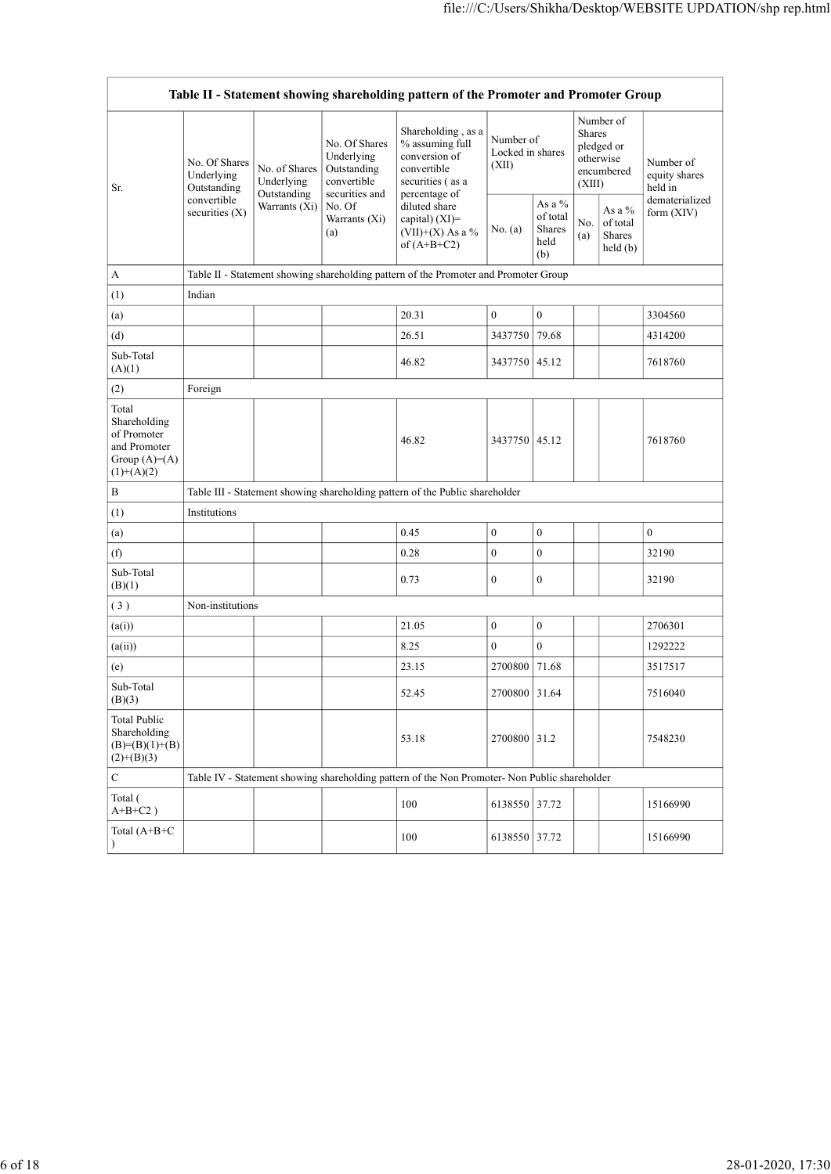|                                                                                         |                                                           |                                            |                                                                             | Table II - Statement showing shareholding pattern of the Promoter and Promoter Group                       |                                        |                                               |                  |                                                    |                                                         |
|-----------------------------------------------------------------------------------------|-----------------------------------------------------------|--------------------------------------------|-----------------------------------------------------------------------------|------------------------------------------------------------------------------------------------------------|----------------------------------------|-----------------------------------------------|------------------|----------------------------------------------------|---------------------------------------------------------|
| Sr.                                                                                     | No. Of Shares<br>Underlying<br>Outstanding<br>convertible | No. of Shares<br>Underlying<br>Outstanding | No. Of Shares<br>Underlying<br>Outstanding<br>convertible<br>securities and | Shareholding, as a<br>% assuming full<br>conversion of<br>convertible<br>securities (as a<br>percentage of | Number of<br>Locked in shares<br>(XII) |                                               | Shares<br>(XIII) | Number of<br>pledged or<br>otherwise<br>encumbered | Number of<br>equity shares<br>held in<br>dematerialized |
|                                                                                         | securities $(X)$                                          | Warrants (Xi)                              | No. Of<br>Warrants (Xi)<br>(a)                                              | diluted share<br>capital) (XI)=<br>$(VII)+(X)$ As a %<br>of $(A+B+C2)$                                     | No. (a)                                | As a $%$<br>of total<br>Shares<br>held<br>(b) | No.<br>(a)       | As a %<br>of total<br>Shares<br>held (b)           | form (XIV)                                              |
| A                                                                                       |                                                           |                                            |                                                                             | Table II - Statement showing shareholding pattern of the Promoter and Promoter Group                       |                                        |                                               |                  |                                                    |                                                         |
| (1)                                                                                     | Indian                                                    |                                            |                                                                             |                                                                                                            |                                        |                                               |                  |                                                    |                                                         |
| (a)                                                                                     |                                                           |                                            |                                                                             | 20.31                                                                                                      | $\mathbf{0}$                           | $\boldsymbol{0}$                              |                  |                                                    | 3304560                                                 |
| (d)<br>Sub-Total<br>(A)(1)                                                              |                                                           |                                            |                                                                             | 26.51<br>46.82                                                                                             | 3437750 79.68<br>3437750 45.12         |                                               |                  |                                                    | 4314200<br>7618760                                      |
| (2)                                                                                     | Foreign                                                   |                                            |                                                                             |                                                                                                            |                                        |                                               |                  |                                                    |                                                         |
| Total<br>Shareholding<br>of Promoter<br>and Promoter<br>Group $(A)=(A)$<br>$(1)+(A)(2)$ |                                                           |                                            |                                                                             | 46.82                                                                                                      | 3437750 45.12                          |                                               |                  |                                                    | 7618760                                                 |
| $\, {\bf B}$                                                                            |                                                           |                                            |                                                                             | Table III - Statement showing shareholding pattern of the Public shareholder                               |                                        |                                               |                  |                                                    |                                                         |
| (1)                                                                                     | Institutions                                              |                                            |                                                                             |                                                                                                            |                                        |                                               |                  |                                                    |                                                         |
| (a)                                                                                     |                                                           |                                            |                                                                             | 0.45                                                                                                       | $\mathbf{0}$                           | $\overline{0}$                                |                  |                                                    | $\mathbf{0}$                                            |
| (f)                                                                                     |                                                           |                                            |                                                                             | $0.28\,$                                                                                                   | $\mathbf{0}$                           | $\mathbf{0}$                                  |                  |                                                    | 32190                                                   |
| $\operatorname{Sub-Total}$<br>(B)(1)                                                    |                                                           |                                            |                                                                             | 0.73                                                                                                       | $\mathbf{0}$                           | $\boldsymbol{0}$                              |                  |                                                    | 32190                                                   |
| $(\sqrt{3})$                                                                            | Non-institutions                                          |                                            |                                                                             |                                                                                                            |                                        |                                               |                  |                                                    |                                                         |
| (a(i))                                                                                  |                                                           |                                            |                                                                             | 21.05                                                                                                      | $\mathbf{0}$                           | $\boldsymbol{0}$                              |                  |                                                    | 2706301                                                 |
| (a(ii))                                                                                 |                                                           |                                            |                                                                             | 8.25                                                                                                       | $\boldsymbol{0}$                       | $\overline{0}$                                |                  |                                                    | 1292222                                                 |
| $\left( \mathrm{e}\right)$                                                              |                                                           |                                            |                                                                             | 23.15                                                                                                      | 2700800 71.68                          |                                               |                  |                                                    | 3517517                                                 |
| $\operatorname{Sub-Total}$<br>(B)(3)                                                    |                                                           |                                            |                                                                             | 52.45                                                                                                      | 2700800 31.64                          |                                               |                  |                                                    | 7516040                                                 |
| <b>Total Public</b><br>Shareholding<br>$(B)=(B)(1)+(B)$<br>$(2)+(B)(3)$                 |                                                           |                                            |                                                                             | 53.18                                                                                                      | 2700800 31.2                           |                                               |                  |                                                    | 7548230                                                 |
| $\mathbf C$                                                                             |                                                           |                                            |                                                                             | Table IV - Statement showing shareholding pattern of the Non Promoter- Non Public shareholder              |                                        |                                               |                  |                                                    |                                                         |
| Total (<br>$A+B+C2$ )                                                                   |                                                           |                                            |                                                                             | 100                                                                                                        | 6138550 37.72                          |                                               |                  |                                                    | 15166990                                                |
| Total $(A+B+C)$                                                                         |                                                           |                                            |                                                                             | 100                                                                                                        | 6138550 37.72                          |                                               |                  |                                                    | 15166990                                                |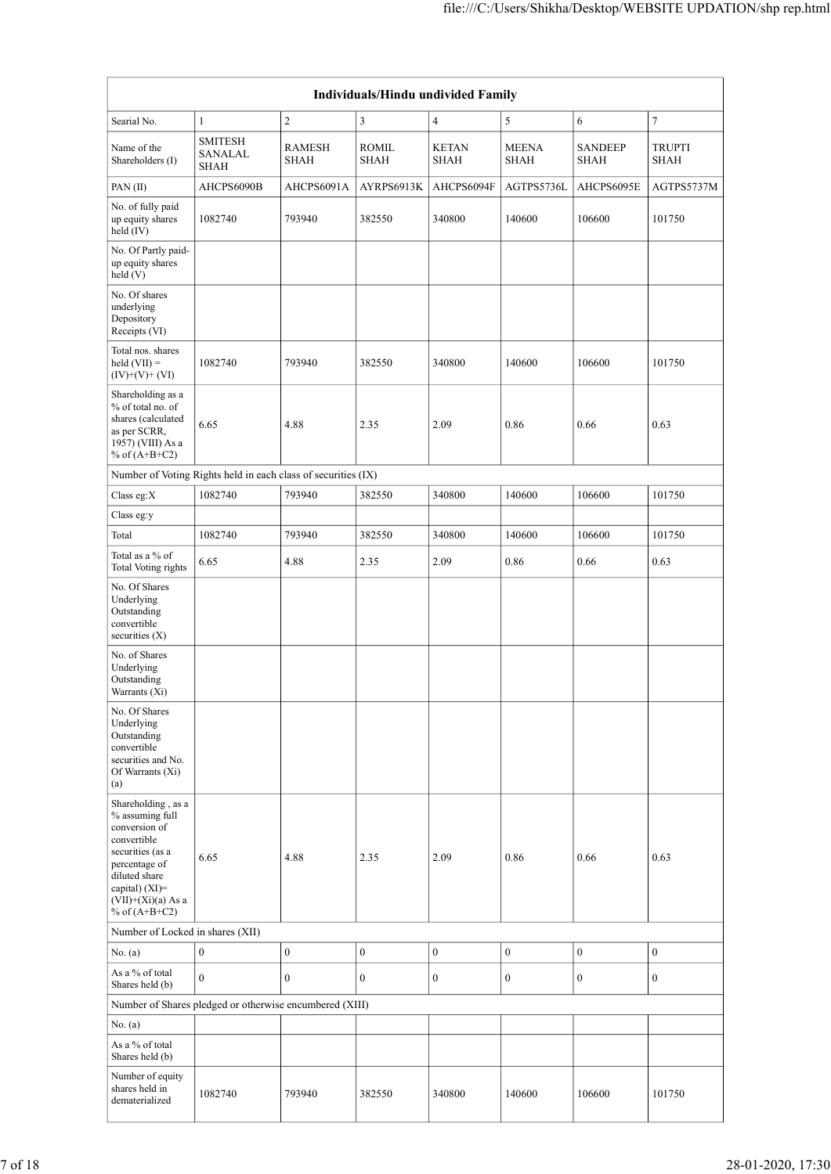|                                                                                                                                                                                             |                                   |                       |                                    |                      |                      | file:///C:/Users/Shikha/Desktop/WEBSITE UPDATION/shp rep.html |                  |
|---------------------------------------------------------------------------------------------------------------------------------------------------------------------------------------------|-----------------------------------|-----------------------|------------------------------------|----------------------|----------------------|---------------------------------------------------------------|------------------|
|                                                                                                                                                                                             |                                   |                       |                                    |                      |                      |                                                               |                  |
|                                                                                                                                                                                             |                                   |                       | Individuals/Hindu undivided Family |                      |                      |                                                               |                  |
| Searial No.                                                                                                                                                                                 | $\mathbf{1}$                      | $\overline{c}$        | $\overline{3}$                     | $\overline{4}$       | 5                    | 6                                                             | $\tau$           |
| Name of the<br>Shareholders (I)                                                                                                                                                             | <b>SMITESH</b><br>SANALAL<br>SHAH | <b>RAMESH</b><br>SHAH | ROMIL<br>SHAH                      | <b>KETAN</b><br>SHAH | <b>MEENA</b><br>SHAH | SANDEEP<br>SHAH                                               | TRUPTI<br>SHAH   |
| PAN (II)                                                                                                                                                                                    | AHCPS6090B                        | AHCPS6091A            | AYRPS6913K                         | AHCPS6094F           | AGTPS5736L           | AHCPS6095E                                                    | AGTPS5737M       |
| No. of fully paid<br>up equity shares<br>$\text{held}(\text{IV})$                                                                                                                           | 1082740                           | 793940                | 382550                             | 340800               | 140600               | 106600                                                        | 101750           |
| No. Of Partly paid-<br>up equity shares<br>held(V)                                                                                                                                          |                                   |                       |                                    |                      |                      |                                                               |                  |
| No. Of shares<br>underlying<br>Depository<br>Receipts (VI)                                                                                                                                  |                                   |                       |                                    |                      |                      |                                                               |                  |
| Total nos. shares<br>$\text{held (VII)} =$<br>$(IV)+(V)+(VI)$                                                                                                                               | 1082740                           | 793940                | 382550                             | 340800               | 140600               | 106600                                                        | 101750           |
| Shareholding as a<br>% of total no. of<br>shares (calculated<br>as per SCRR,<br>$1957)$ (VIII) As a<br>% of $(A+B+C2)$                                                                      | 6.65                              | 4.88                  | 2.35                               | 2.09                 | $0.86\,$             | $0.66\,$                                                      | 0.63             |
| Number of Voting Rights held in each class of securities (IX)                                                                                                                               |                                   |                       |                                    |                      |                      |                                                               |                  |
| Class eg: $X$                                                                                                                                                                               | 1082740                           | 793940                | 382550                             | 340800               | 140600               | 106600                                                        | 101750           |
| Class eg: $y$                                                                                                                                                                               |                                   |                       |                                    |                      |                      |                                                               |                  |
| Total<br>Total as a $\%$ of                                                                                                                                                                 | 1082740                           | 793940                | 382550                             | 340800               | 140600               | 106600                                                        | 101750           |
| Total Voting rights<br>No. Of Shares<br>Underlying                                                                                                                                          | 6.65                              | 4.88                  | 2.35                               | 2.09                 | 0.86                 | 0.66                                                          | 0.63             |
| Outstanding<br>convertible<br>securities (X)                                                                                                                                                |                                   |                       |                                    |                      |                      |                                                               |                  |
| No. of Shares<br>Underlying<br>Outstanding<br>Warrants (Xi)                                                                                                                                 |                                   |                       |                                    |                      |                      |                                                               |                  |
| No. Of Shares<br>Underlying<br>Outstanding<br>convertible<br>securities and No.<br>Of Warrants (Xi)<br>$\left( \mathbf{a}\right)$                                                           |                                   |                       |                                    |                      |                      |                                                               |                  |
| Shareholding, as a<br>$\%$ assuming full<br>conversion of<br>convertible<br>securities (as a<br>percentage of<br>diluted share<br>capital) (XI)=<br>$(VII)+(Xi)(a)$ As a<br>% of $(A+B+C2)$ | 6.65                              | 4.88                  | 2.35                               | 2.09                 | 0.86                 | $0.66\,$                                                      | 0.63             |
| Number of Locked in shares (XII)                                                                                                                                                            |                                   |                       |                                    |                      |                      |                                                               |                  |
| No. $(a)$                                                                                                                                                                                   | $\mathbf{0}$                      | $\boldsymbol{0}$      | $\boldsymbol{0}$                   | $\mathbf{0}$         | $\boldsymbol{0}$     | $\boldsymbol{0}$                                              | $\boldsymbol{0}$ |
| As a $\%$ of total<br>Shares held (b)                                                                                                                                                       | $\mathbf{0}$                      | $\mathbf{0}$          | $\mathbf{0}$                       | $\mathbf{0}$         | $\boldsymbol{0}$     | $\boldsymbol{0}$                                              | $\boldsymbol{0}$ |
| Number of Shares pledged or otherwise encumbered (XIII)                                                                                                                                     |                                   |                       |                                    |                      |                      |                                                               |                  |
| No. $(a)$<br>As a $\%$ of total<br>Shares held (b)                                                                                                                                          |                                   |                       |                                    |                      |                      |                                                               |                  |
| Number of equity<br>shares held in<br>dematerialized                                                                                                                                        | 1082740                           | 793940                | 382550                             | 340800               | 140600               | 106600                                                        | 101750           |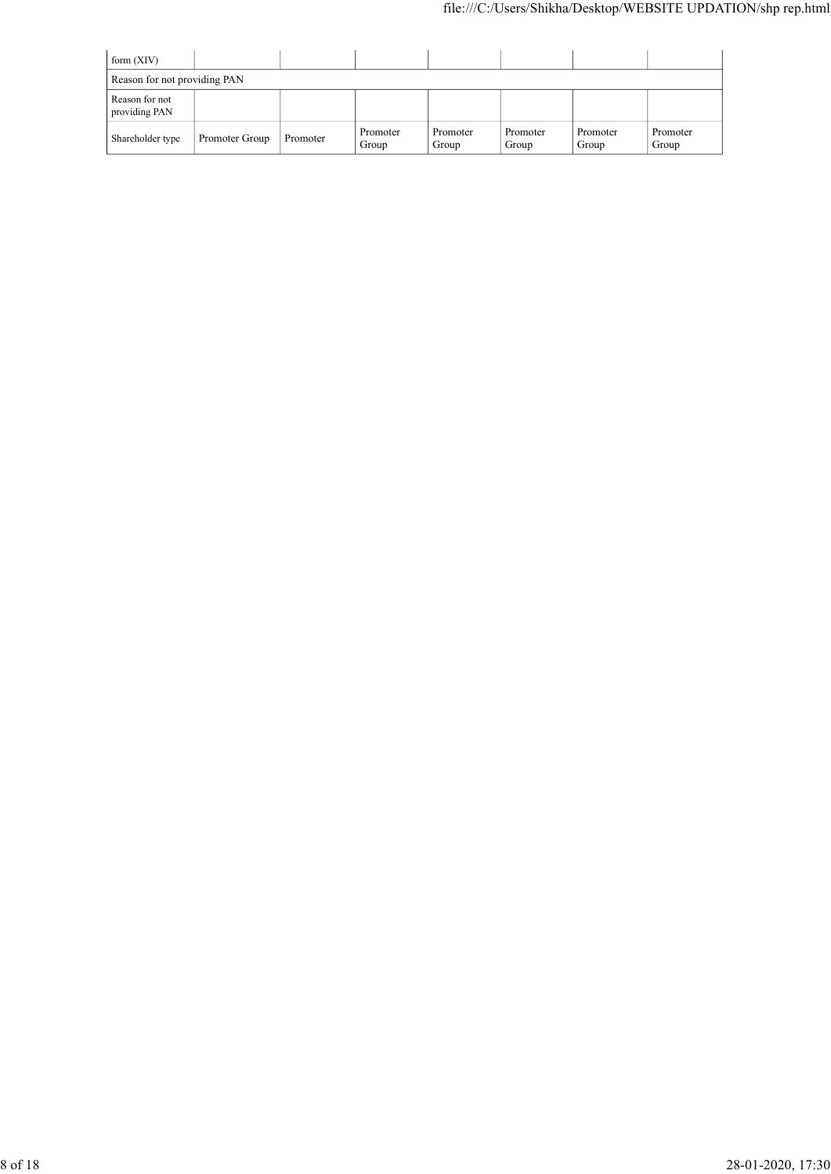|                                                |                |          |                   |                   | file:///C:/Users/Shikha/Desktop/WEBSITE UPDATION/shp rep.html |                   |                   |
|------------------------------------------------|----------------|----------|-------------------|-------------------|---------------------------------------------------------------|-------------------|-------------------|
|                                                |                |          |                   |                   |                                                               |                   |                   |
| form (XIV)                                     |                |          |                   |                   |                                                               |                   |                   |
| Reason for not providing PAN<br>Reason for not |                |          |                   |                   |                                                               |                   |                   |
|                                                |                |          |                   |                   |                                                               |                   |                   |
| providing PAN                                  |                |          |                   |                   |                                                               |                   |                   |
| Shareholder type                               | Promoter Group | Promoter | Promoter<br>Group | Promoter<br>Group | Promoter<br>Group                                             | Promoter<br>Group | Promoter<br>Group |
|                                                |                |          |                   |                   |                                                               |                   |                   |
|                                                |                |          |                   |                   |                                                               |                   |                   |
|                                                |                |          |                   |                   |                                                               |                   |                   |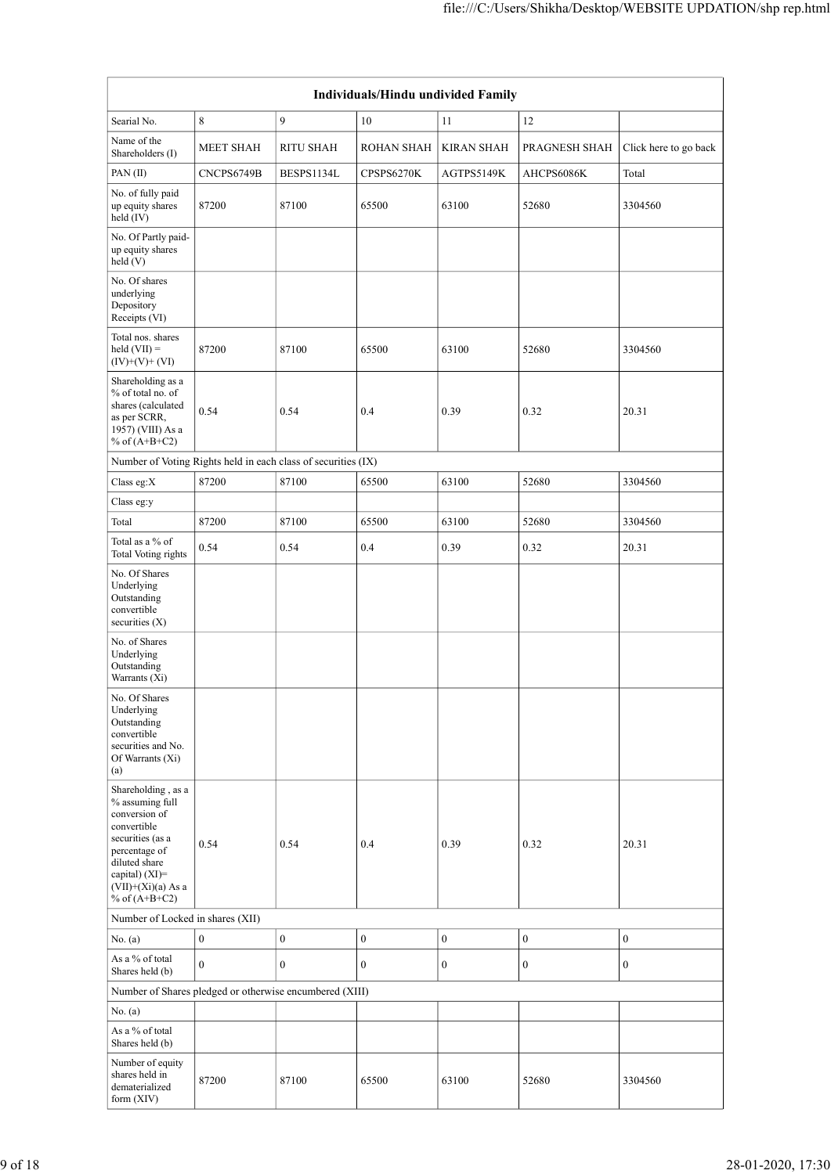|                                                                                                                                                                                             |                  |                  | Individuals/Hindu undivided Family |                   |                       |                       |
|---------------------------------------------------------------------------------------------------------------------------------------------------------------------------------------------|------------------|------------------|------------------------------------|-------------------|-----------------------|-----------------------|
| Searial No.                                                                                                                                                                                 | $\,8\,$          | 9                | $10\,$                             | $11\,$            | $12\,$                |                       |
| Name of the                                                                                                                                                                                 | <b>MEET SHAH</b> | <b>RITU SHAH</b> | ROHAN SHAH                         | <b>KIRAN SHAH</b> | PRAGNESH SHAH         | Click here to go back |
| Shareholders (I)<br>PAN(II)                                                                                                                                                                 | CNCPS6749B       | BESPS1134L       | CPSPS6270K                         | AGTPS5149K        | $\mathrm{AHCPS6086K}$ | Total                 |
| No. of fully paid<br>up equity shares<br>$\text{held}(\text{IV})$                                                                                                                           | 87200            | 87100            | 65500                              | 63100             | 52680                 | 3304560               |
| No. Of Partly paid-<br>up equity shares<br>$\text{held}(V)$                                                                                                                                 |                  |                  |                                    |                   |                       |                       |
| No. Of shares<br>underlying<br>Depository<br>Receipts (VI)                                                                                                                                  |                  |                  |                                    |                   |                       |                       |
| Total nos. shares<br>$\text{held (VII)} =$<br>$(IV)+(V)+(VI)$                                                                                                                               | 87200            | 87100            | 65500                              | 63100             | 52680                 | 3304560               |
| $\begin{array}{c} \mbox{Shareholding as a}\\ \mbox{``6 of total no. of} \end{array}$<br>shares (calculated<br>as per SCRR,<br>1957) (VIII) As a<br>$%$ of (A+B+C2)                          | 0.54             | 0.54             | $0.4\,$                            | 0.39              | 0.32                  | 20.31                 |
| Number of Voting Rights held in each class of securities (IX)                                                                                                                               |                  |                  |                                    |                   |                       |                       |
| Class eg: $X$                                                                                                                                                                               | 87200            | 87100            | 65500                              | 63100             | 52680                 | 3304560               |
| Class eg: $y$<br>Total                                                                                                                                                                      | 87200            | 87100            | 65500                              | 63100             | 52680                 | 3304560               |
| Total as a $\%$ of<br>Total Voting rights                                                                                                                                                   | 0.54             | 0.54             | $0.4\,$                            | 0.39              | 0.32                  | 20.31                 |
| No. Of Shares<br>Underlying<br>Outstanding<br>convertible<br>securities (X)                                                                                                                 |                  |                  |                                    |                   |                       |                       |
| No. of Shares<br>Underlying<br>Outstanding<br>Warrants (Xi)                                                                                                                                 |                  |                  |                                    |                   |                       |                       |
| No. Of Shares<br>Underlying<br>Outstanding<br>convertible<br>securities and No.<br>Of Warrants (Xi)<br>$\left( \mathbf{a}\right)$                                                           |                  |                  |                                    |                   |                       |                       |
| Shareholding, as a<br>$\%$ assuming full<br>conversion of<br>convertible<br>securities (as a<br>percentage of<br>diluted share<br>capital) (XI)=<br>$(VII)+(Xi)(a)$ As a<br>% of $(A+B+C2)$ | 0.54             | 0.54             | $0.4\,$                            | 0.39              | 0.32                  | 20.31                 |
| Number of Locked in shares (XII)                                                                                                                                                            |                  |                  |                                    |                   |                       |                       |
| No. $(a)$                                                                                                                                                                                   | $\boldsymbol{0}$ | $\boldsymbol{0}$ | $\boldsymbol{0}$                   | $\boldsymbol{0}$  | $\boldsymbol{0}$      | $\boldsymbol{0}$      |
| As a $\%$ of total<br>Shares held (b)                                                                                                                                                       | $\boldsymbol{0}$ | $\mathbf{0}$     | $\boldsymbol{0}$                   | $\mathbf{0}$      | $\bf{0}$              | $\boldsymbol{0}$      |
| Number of Shares pledged or otherwise encumbered (XIII)                                                                                                                                     |                  |                  |                                    |                   |                       |                       |
| No. $(a)$<br>As a $\%$ of total<br>Shares held (b)                                                                                                                                          |                  |                  |                                    |                   |                       |                       |
|                                                                                                                                                                                             |                  |                  |                                    |                   |                       |                       |
| Number of equity<br>shares held in<br>$\rm dematerialized$<br>form (XIV)                                                                                                                    | 87200            | 87100            | 65500                              | 63100             | 52680                 | 3304560               |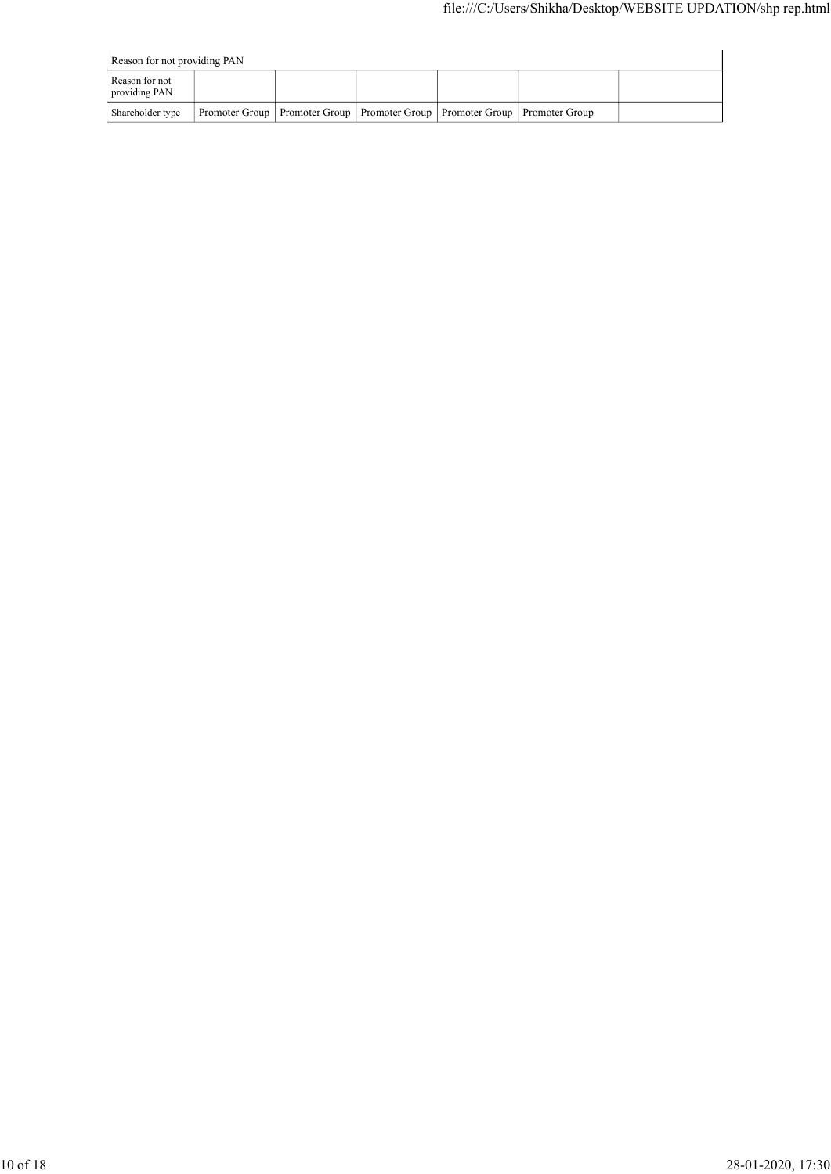|                                 |                |                |                |                |                | file:///C:/Users/Shikha/Desktop/WEBSITE UPDATION/shp rep.html |
|---------------------------------|----------------|----------------|----------------|----------------|----------------|---------------------------------------------------------------|
|                                 |                |                |                |                |                |                                                               |
|                                 |                |                |                |                |                |                                                               |
| Reason for not providing PAN    |                |                |                |                |                |                                                               |
| Reason for not<br>providing PAN |                |                |                |                |                |                                                               |
| Shareholder type                | Promoter Group | Promoter Group | Promoter Group | Promoter Group | Promoter Group |                                                               |
|                                 |                |                |                |                |                |                                                               |
|                                 |                |                |                |                |                |                                                               |
|                                 |                |                |                |                |                |                                                               |
|                                 |                |                |                |                |                |                                                               |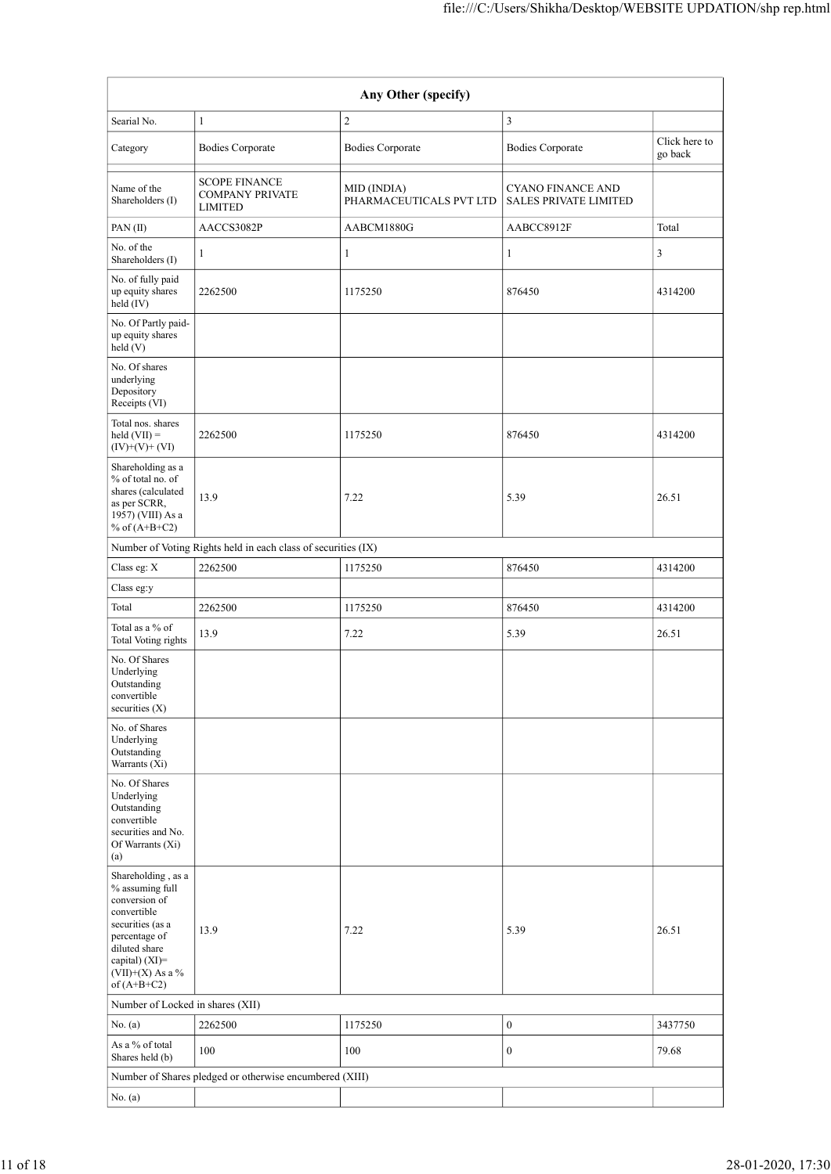|                                                                                                                                                                                          |                                                                  |                                                                | file:///C:/Users/Shikha/Desktop/WEBSITE UPDATION/shp rep.html |                          |
|------------------------------------------------------------------------------------------------------------------------------------------------------------------------------------------|------------------------------------------------------------------|----------------------------------------------------------------|---------------------------------------------------------------|--------------------------|
|                                                                                                                                                                                          |                                                                  |                                                                |                                                               |                          |
|                                                                                                                                                                                          |                                                                  | Any Other (specify)                                            |                                                               |                          |
| Searial No.                                                                                                                                                                              | $\mathbf{1}$                                                     | 2                                                              | $\mathbf{3}$                                                  |                          |
| Category                                                                                                                                                                                 | <b>Bodies Corporate</b>                                          | <b>Bodies Corporate</b>                                        | <b>Bodies Corporate</b>                                       | Click here to<br>go back |
| Name of the<br>Shareholders (I)                                                                                                                                                          | <b>SCOPE FINANCE</b><br><b>COMPANY PRIVATE</b><br><b>LIMITED</b> | MID (INDIA)<br>PHARMACEUTICALS PVT LTD   SALES PRIVATE LIMITED | <b>CYANO FINANCE AND</b>                                      |                          |
| PAN(II)                                                                                                                                                                                  | AACCS3082P                                                       | AABCM1880G                                                     | AABCC8912F                                                    | Total                    |
| No. of the<br>Shareholders (I)                                                                                                                                                           | 1                                                                |                                                                |                                                               | 3                        |
| No. of fully paid<br>up equity shares<br>$\text{held} (IV)$                                                                                                                              | 2262500                                                          | 1175250                                                        | 876450                                                        | 4314200                  |
| No. Of Partly paid-<br>up equity shares<br>held $(V)$                                                                                                                                    |                                                                  |                                                                |                                                               |                          |
| No. Of shares<br>underlying<br>Depository<br>Receipts (VI)                                                                                                                               |                                                                  |                                                                |                                                               |                          |
| Total nos. shares<br>$\text{held (VII)} =$<br>$(IV)+(V)+(VI)$                                                                                                                            | 2262500                                                          | 1175250                                                        | 876450                                                        | 4314200                  |
| Shareholding as a<br>$\%$ of total no. of<br>shares (calculated<br>as per SCRR,<br>1957) (VIII) As a<br>% of $(A+B+C2)$                                                                  | 13.9                                                             | 7.22                                                           | 5.39                                                          | 26.51                    |
|                                                                                                                                                                                          | Number of Voting Rights held in each class of securities (IX)    |                                                                |                                                               |                          |
| Class eg: $\mathbf X$                                                                                                                                                                    | 2262500                                                          | 1175250                                                        | 876450                                                        | 4314200                  |
| $\rm Class$ eg:y                                                                                                                                                                         |                                                                  |                                                                |                                                               |                          |
| Total<br>Total as a $\%$ of                                                                                                                                                              | 2262500                                                          | 1175250                                                        | 876450<br>5.39                                                | 4314200                  |
| Total Voting rights<br>No. Of Shares<br>Underlying<br>Outstanding                                                                                                                        | 13.9                                                             | 7.22                                                           |                                                               | 26.51                    |
| convertible<br>securities (X)<br>No. of Shares<br>Underlying                                                                                                                             |                                                                  |                                                                |                                                               |                          |
| $\rm Outstanding$<br>Warrants (Xi)<br>No. Of Shares                                                                                                                                      |                                                                  |                                                                |                                                               |                          |
| Underlying<br>Outstanding<br>convertible<br>securities and No.<br>Of Warrants (Xi)<br>(a)                                                                                                |                                                                  |                                                                |                                                               |                          |
| Shareholding, as a<br>$\%$ assuming full<br>conversion of<br>convertible<br>securities (as a<br>percentage of<br>diluted share<br>capital) (XI)=<br>(VII)+(X) As a $\%$<br>of $(A+B+C2)$ | 13.9                                                             | 7.22                                                           | 5.39                                                          | 26.51                    |
| Number of Locked in shares (XII)                                                                                                                                                         |                                                                  |                                                                |                                                               |                          |
| No. $(a)$                                                                                                                                                                                | 2262500                                                          | 1175250                                                        | $\boldsymbol{0}$                                              | 3437750                  |
| As a $\%$ of total<br>Shares held (b)                                                                                                                                                    | $100\,$                                                          | $100\,$                                                        | $\boldsymbol{0}$                                              | 79.68                    |
|                                                                                                                                                                                          | Number of Shares pledged or otherwise encumbered (XIII)          |                                                                |                                                               |                          |
| No. $(a)$                                                                                                                                                                                |                                                                  |                                                                |                                                               |                          |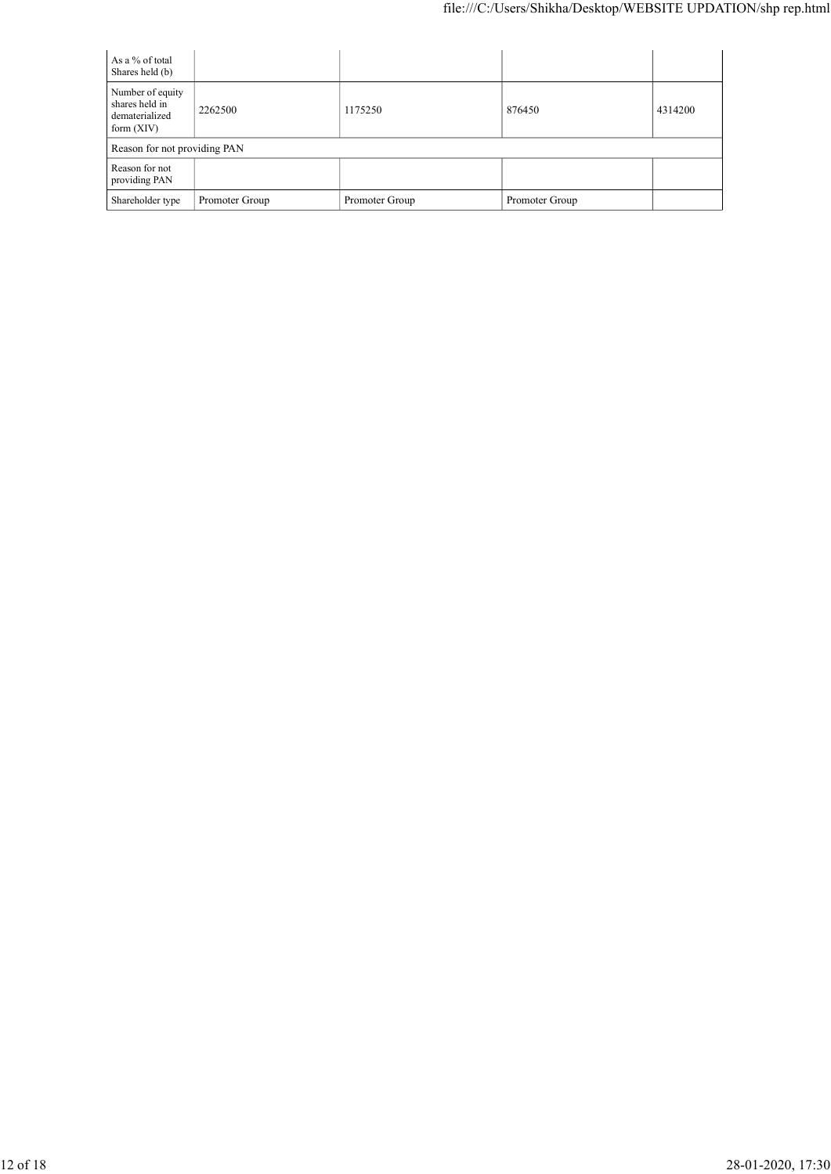|                                       |         |         | file:///C:/Users/Shikha/Desktop/WEBSITE UPDATION/shp rep.html |         |
|---------------------------------------|---------|---------|---------------------------------------------------------------|---------|
|                                       |         |         |                                                               |         |
| As a $\%$ of total<br>Shares held (b) |         |         |                                                               |         |
| Number of equity<br>shares held in    | 2262500 | 1175250 | 876450                                                        | 4314200 |
| dematerialized<br>form (XIV)          |         |         |                                                               |         |
| Reason for not providing PAN          |         |         |                                                               |         |
| Reason for not<br>providing PAN       |         |         |                                                               |         |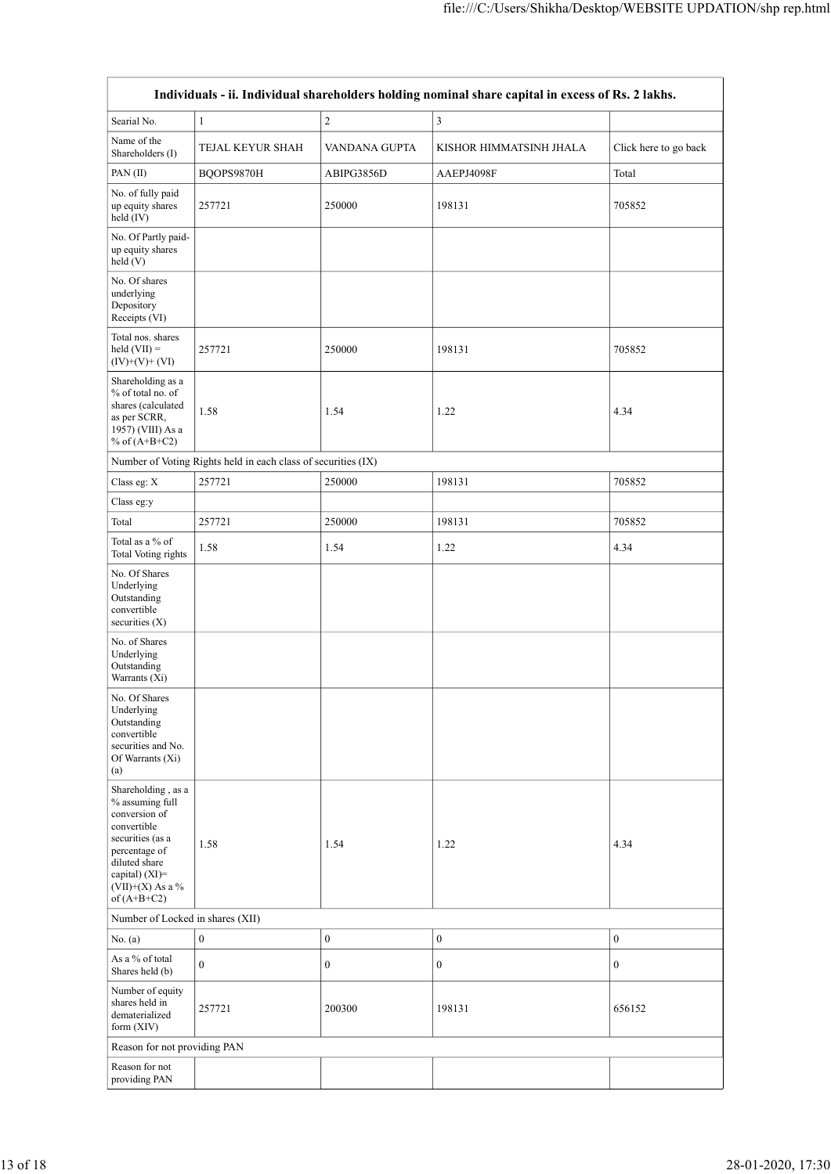|                                                                                                                                                                    |                                                               |                  | file:///C:/Users/Shikha/Desktop/WEBSITE UPDATION/shp rep.html                                     |                       |
|--------------------------------------------------------------------------------------------------------------------------------------------------------------------|---------------------------------------------------------------|------------------|---------------------------------------------------------------------------------------------------|-----------------------|
|                                                                                                                                                                    |                                                               |                  | Individuals - ii. Individual shareholders holding nominal share capital in excess of Rs. 2 lakhs. |                       |
| Searial No.                                                                                                                                                        | $\mathbf{1}$                                                  | $\overline{c}$   | $\vert 3 \vert$                                                                                   |                       |
| Name of the<br>Shareholders (I)                                                                                                                                    | TEJAL KEYUR SHAH                                              | VANDANA GUPTA    | KISHOR HIMMATSINH JHALA                                                                           | Click here to go back |
| PAN(II)<br>No. of fully paid                                                                                                                                       | BQOPS9870H                                                    | ABIPG3856D       | AAEPJ4098F                                                                                        | Total                 |
| up equity shares<br>held (IV)                                                                                                                                      | 257721                                                        | 250000           | 198131                                                                                            | 705852                |
| No. Of Partly paid-<br>up equity shares<br>$\text{held}(V)$                                                                                                        |                                                               |                  |                                                                                                   |                       |
| No. Of shares<br>underlying<br>Depository<br>Receipts (VI)                                                                                                         |                                                               |                  |                                                                                                   |                       |
| Total nos. shares<br>$\text{held (VII)} =$<br>$(IV)+(V)+(VI)$                                                                                                      | 257721                                                        | 250000           | 198131                                                                                            | 705852                |
| $\begin{array}{c} \mbox{Shareholding as a}\\ \mbox{``6 of total no. of} \end{array}$<br>shares (calculated<br>as per SCRR,<br>1957) (VIII) As a<br>$%$ of (A+B+C2) | 1.58                                                          | 1.54             | 1.22                                                                                              | 4.34                  |
|                                                                                                                                                                    | Number of Voting Rights held in each class of securities (IX) |                  |                                                                                                   |                       |
| Class eg: $\mathbf X$                                                                                                                                              | 257721                                                        | 250000           | 198131                                                                                            | 705852                |
| $\rm Class$ eg:y                                                                                                                                                   |                                                               |                  |                                                                                                   |                       |
| Total<br>Total as a $\%$ of                                                                                                                                        | 257721                                                        | 250000           | 198131                                                                                            | 705852                |
| Total Voting rights<br>No. Of Shares                                                                                                                               | 1.58                                                          | 1.54             | 1.22                                                                                              | 4.34                  |
| Underlying<br>Outstanding<br>convertible<br>securities (X)                                                                                                         |                                                               |                  |                                                                                                   |                       |
| No. of Shares<br>Underlying<br>Outstanding<br>Warrants (Xi)                                                                                                        |                                                               |                  |                                                                                                   |                       |
| No. Of Shares<br>Underlying<br>Outstanding<br>convertible<br>securities and No.                                                                                    |                                                               |                  |                                                                                                   |                       |
| Of Warrants (Xi)<br>$\left( \text{a}\right)$                                                                                                                       |                                                               |                  |                                                                                                   |                       |
| Shareholding , as a<br>$\%$ assuming full<br>conversion of<br>convertible                                                                                          |                                                               |                  |                                                                                                   |                       |
| securities (as a<br>percentage of<br>diluted share<br>capital) (XI)=<br>$(VII)+(X)$ As a %                                                                         | 1.58                                                          | 1.54             | 1.22                                                                                              | 4.34                  |
| of $(A+B+C2)$<br>Number of Locked in shares (XII)                                                                                                                  |                                                               |                  |                                                                                                   |                       |
| No. $(a)$                                                                                                                                                          | $\boldsymbol{0}$                                              | $\boldsymbol{0}$ | $\boldsymbol{0}$                                                                                  | $\boldsymbol{0}$      |
| As a % of total<br>Shares held (b)                                                                                                                                 | $\boldsymbol{0}$                                              | 0                | $\boldsymbol{0}$                                                                                  | $\boldsymbol{0}$      |
| Number of equity<br>shares held in<br>dematerialized                                                                                                               | 257721                                                        | $200300\,$       | 198131                                                                                            | 656152                |
| form (XIV)<br>Reason for not providing PAN                                                                                                                         |                                                               |                  |                                                                                                   |                       |
| Reason for not                                                                                                                                                     |                                                               |                  |                                                                                                   |                       |
| providing PAN                                                                                                                                                      |                                                               |                  |                                                                                                   |                       |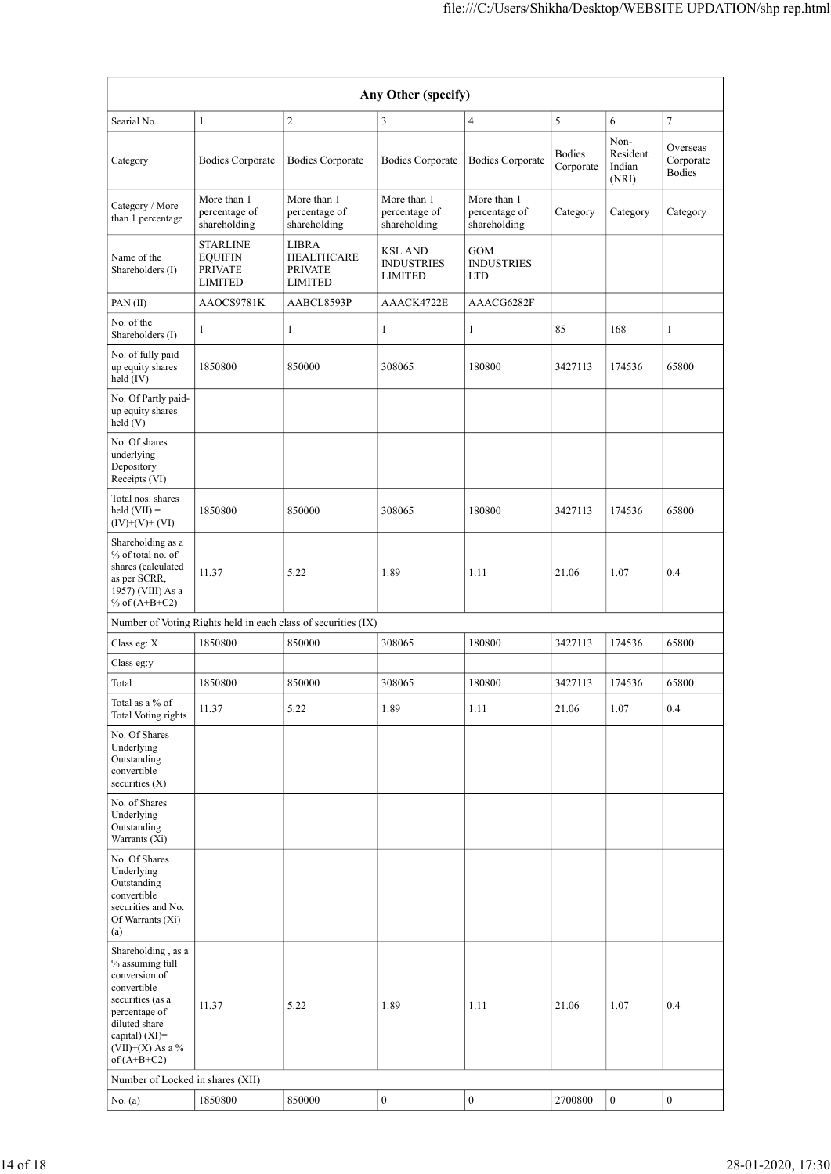|                                                                                                                                                                                         |                                                     |                                                               |                                                                 | file:///C:/Users/Shikha/Desktop/WEBSITE UPDATION/shp rep.html |                     |                                     |                                 |
|-----------------------------------------------------------------------------------------------------------------------------------------------------------------------------------------|-----------------------------------------------------|---------------------------------------------------------------|-----------------------------------------------------------------|---------------------------------------------------------------|---------------------|-------------------------------------|---------------------------------|
|                                                                                                                                                                                         |                                                     |                                                               |                                                                 |                                                               |                     |                                     |                                 |
|                                                                                                                                                                                         |                                                     |                                                               | Any Other (specify)                                             |                                                               |                     |                                     |                                 |
| Searial No.                                                                                                                                                                             | $\mathbf{1}$                                        | $\sqrt{2}$                                                    | $\vert 3 \vert$                                                 | $\overline{4}$                                                | $\sqrt{5}$          | 6                                   | $\boldsymbol{7}$                |
| Category                                                                                                                                                                                | <b>Bodies Corporate</b>                             | <b>Bodies Corporate</b>                                       | <b>Bodies Corporate</b>                                         | <b>Bodies Corporate</b>                                       | Bodies<br>Corporate | Non-<br>Resident<br>Indian<br>(NRI) | Overseas<br>Corporate<br>Bodies |
| Category / More<br>than 1 percentage                                                                                                                                                    | More than 1<br>percentage of<br>shareholding        | More than 1<br>percentage of<br>shareholding                  | More than 1<br>percentage of<br>shareholding                    | More than 1<br>percentage of<br>shareholding                  | Category            | Category                            | Category                        |
| Name of the<br>Shareholders (I)                                                                                                                                                         | <b>STARLINE</b><br><b>EQUIFIN</b><br><b>PRIVATE</b> | ${\rm LIBRA}$<br><b>HEALTHCARE</b><br><b>PRIVATE</b>          | $\operatorname{KSL}$ AND<br><b>INDUSTRIES</b><br><b>LIMITED</b> | GOM<br><b>INDUSTRIES</b><br><b>LTD</b>                        |                     |                                     |                                 |
| PAN(II)                                                                                                                                                                                 | <b>LIMITED</b><br>AAOCS9781K                        | <b>LIMITED</b><br>AABCL8593P                                  | AAACK4722E                                                      | AAACG6282F                                                    |                     |                                     |                                 |
| No. of the<br>Shareholders (I)                                                                                                                                                          | $\mathbf{1}$                                        |                                                               | 1                                                               | $\mathbf{1}$                                                  | 85                  | 168                                 | 1                               |
| No. of fully paid<br>up equity shares<br>held (IV)                                                                                                                                      | 1850800                                             | 850000                                                        | 308065                                                          | 180800                                                        | 3427113             | 174536                              | 65800                           |
| No. Of Partly paid-<br>up equity shares<br>$\text{held}(V)$                                                                                                                             |                                                     |                                                               |                                                                 |                                                               |                     |                                     |                                 |
| No. Of shares<br>underlying<br>Depository<br>Receipts (VI)                                                                                                                              |                                                     |                                                               |                                                                 |                                                               |                     |                                     |                                 |
| Total nos. shares<br>$held (VII) =$<br>$(IV)+(V)+(VI)$                                                                                                                                  | 1850800                                             | 850000                                                        | 308065                                                          | 180800                                                        | 3427113             | 174536                              | 65800                           |
| Shareholding as a<br>$\%$ of total no. of<br>shares (calculated<br>as per SCRR,                                                                                                         | 11.37                                               | 5.22                                                          | 1.89                                                            | 1.11                                                          | 21.06               | 1.07                                | 0.4                             |
| 1957) (VIII) As a<br>% of $(A+B+C2)$                                                                                                                                                    |                                                     |                                                               |                                                                 |                                                               |                     |                                     |                                 |
|                                                                                                                                                                                         |                                                     | Number of Voting Rights held in each class of securities (IX) |                                                                 |                                                               |                     |                                     |                                 |
| Class eg: $\mathbf X$<br>Class $\mathrm{eg}\mathrm{:}y$                                                                                                                                 | 1850800                                             | 850000                                                        | 308065                                                          | 180800                                                        | 3427113             | 174536                              | 65800                           |
| Total                                                                                                                                                                                   | 1850800                                             | 850000                                                        | 308065                                                          | 180800                                                        | 3427113             | 174536                              | 65800                           |
| Total as a $\%$ of<br>Total Voting rights                                                                                                                                               | 11.37                                               | 5.22                                                          | 1.89                                                            | $1.11\,$                                                      | 21.06               | $1.07\,$                            | 0.4                             |
| No. Of Shares<br>Underlying<br>Outstanding<br>convertible<br>securities (X)                                                                                                             |                                                     |                                                               |                                                                 |                                                               |                     |                                     |                                 |
| No. of Shares<br>Underlying<br>Outstanding<br>Warrants (Xi)                                                                                                                             |                                                     |                                                               |                                                                 |                                                               |                     |                                     |                                 |
| No. Of Shares<br>Underlying<br>Outstanding<br>convertible<br>securities and No.<br>Of Warrants (Xi)<br>(a)                                                                              |                                                     |                                                               |                                                                 |                                                               |                     |                                     |                                 |
| Shareholding, as a<br>$\%$ assuming full<br>conversion of<br>convertible<br>securities (as a<br>percentage of<br>diluted share<br>capital) (XI)=<br>$(VII)+(X)$ As a %<br>of $(A+B+C2)$ | 11.37                                               | 5.22                                                          | 1.89                                                            | 1.11                                                          | 21.06               | 1.07                                | 0.4                             |
|                                                                                                                                                                                         |                                                     |                                                               |                                                                 |                                                               |                     |                                     |                                 |
| Number of Locked in shares (XII)                                                                                                                                                        |                                                     |                                                               |                                                                 |                                                               |                     |                                     |                                 |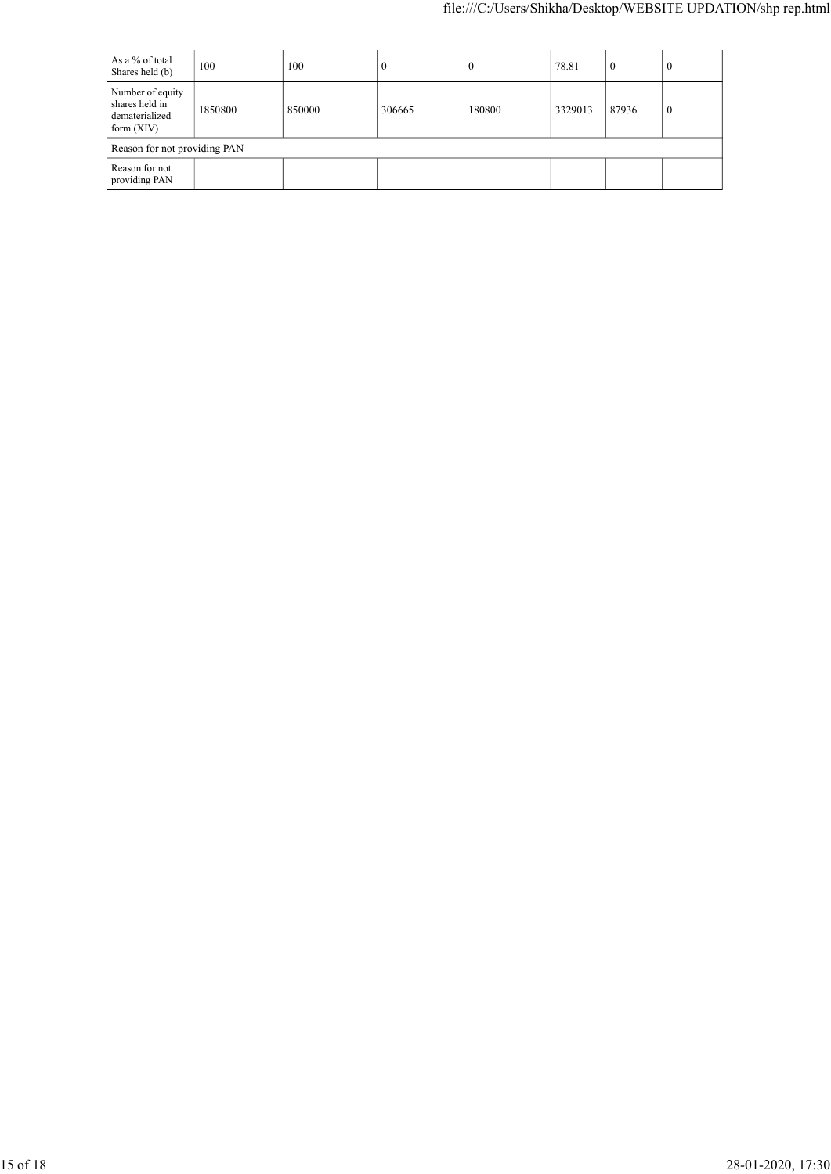|                                       |                              |         |                  | file:///C:/Users/Shikha/Desktop/WEBSITE UPDATION/shp rep.html |         |                |                  |
|---------------------------------------|------------------------------|---------|------------------|---------------------------------------------------------------|---------|----------------|------------------|
|                                       |                              |         |                  |                                                               |         |                |                  |
| As a $\%$ of total<br>Shares held (b) | 100                          | $100\,$ | $\boldsymbol{0}$ | $\boldsymbol{0}$                                              | 78.81   | $\overline{0}$ | $\overline{0}$   |
| Number of equity<br>shares held in    |                              |         |                  |                                                               |         |                |                  |
| dematerialized<br>form (XIV)          | 1850800                      | 850000  | 306665           | 180800                                                        | 3329013 | 87936          | $\boldsymbol{0}$ |
|                                       | Reason for not providing PAN |         |                  |                                                               |         |                |                  |
|                                       |                              |         |                  |                                                               |         |                |                  |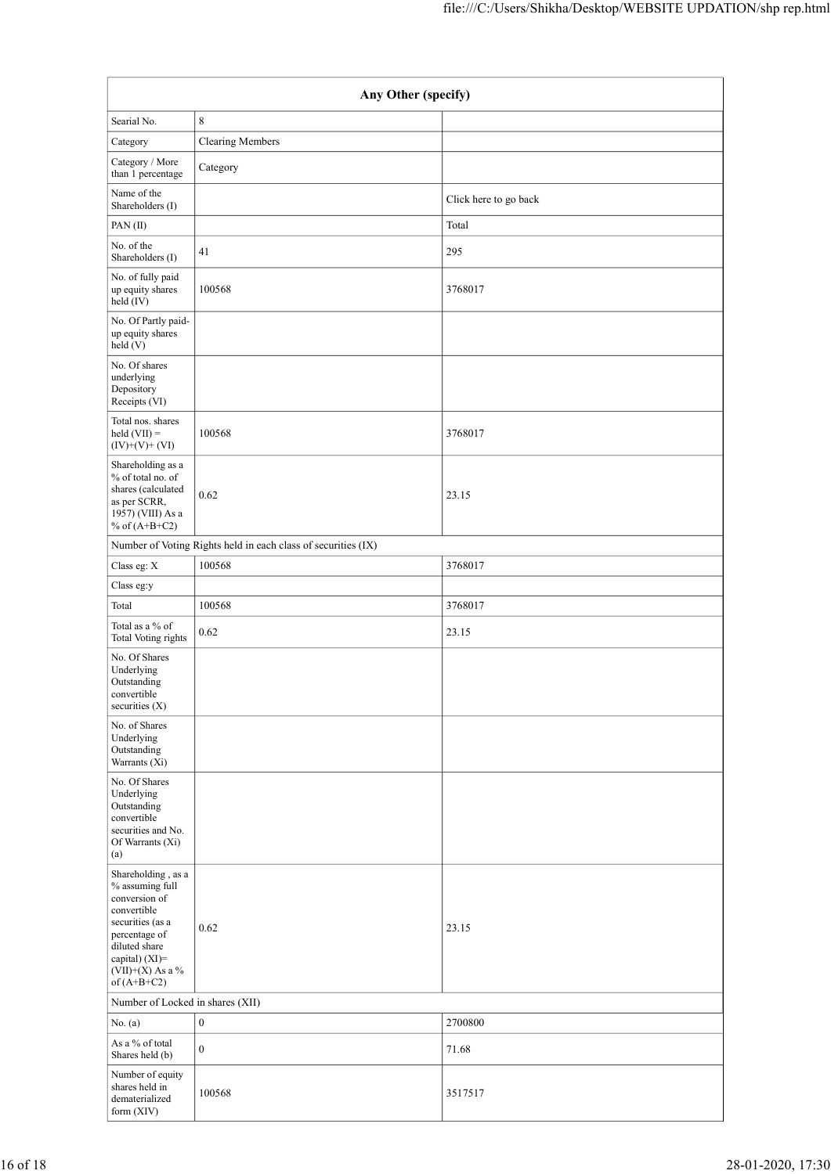|                                                                                                                         |                                                               | file:///C:/Users/Shikha/Desktop/WEBSITE UPDATION/shp rep.html |
|-------------------------------------------------------------------------------------------------------------------------|---------------------------------------------------------------|---------------------------------------------------------------|
|                                                                                                                         | Any Other (specify)                                           |                                                               |
| Searial No.                                                                                                             | $\,8\,$                                                       |                                                               |
| Category                                                                                                                | Clearing Members                                              |                                                               |
| Category / More<br>than 1 percentage                                                                                    | Category                                                      |                                                               |
| Name of the<br>Shareholders (I)                                                                                         |                                                               | Click here to go back                                         |
| PAN (II)                                                                                                                |                                                               | Total                                                         |
| No. of the<br>Shareholders (I)                                                                                          | 41                                                            | 295                                                           |
| No. of fully paid<br>up equity shares<br>$\text{held}(\text{IV})$                                                       | 100568                                                        | 3768017                                                       |
| No. Of Partly paid-<br>up equity shares<br>held (V)                                                                     |                                                               |                                                               |
| No. Of shares<br>underlying<br>Depository<br>Receipts (VI)                                                              |                                                               |                                                               |
| Total nos. shares<br>$held (VII) =$<br>$(IV)+(V)+(VI)$                                                                  | 100568                                                        | 3768017                                                       |
| Shareholding as a<br>$\%$ of total no. of<br>shares (calculated<br>as per SCRR,<br>1957) (VIII) As a<br>% of $(A+B+C2)$ | 0.62                                                          | 23.15                                                         |
|                                                                                                                         | Number of Voting Rights held in each class of securities (IX) |                                                               |
| Class eg: $\mathbf X$                                                                                                   | 100568                                                        | 3768017                                                       |
| Class $\mathrm{eg}\mathrm{:}y$                                                                                          |                                                               |                                                               |
| Total<br>Total as a $\%$ of                                                                                             | 100568<br>0.62                                                | 3768017<br>23.15                                              |
| <b>Total Voting rights</b><br>No. Of Shares                                                                             |                                                               |                                                               |
| Underlying<br>Outstanding<br>convertible<br>securities (X)                                                              |                                                               |                                                               |
| No. of Shares<br>Underlying<br>Outstanding<br>Warrants (Xi)                                                             |                                                               |                                                               |
| No. Of Shares<br>Underlying<br>Outstanding<br>convertible<br>securities and No.<br>Of Warrants (Xi)<br>(a)              |                                                               |                                                               |
| Shareholding, as a<br>$\%$ assuming full<br>conversion of<br>convertible                                                |                                                               |                                                               |
| securities (as a<br>percentage of<br>diluted share<br>capital) (XI)=<br>(VII)+(X) As a $\%$<br>of $(A+B+C2)$            | 0.62                                                          | 23.15                                                         |
| Number of Locked in shares (XII)                                                                                        |                                                               |                                                               |
| No. (a)                                                                                                                 | $\boldsymbol{0}$                                              | 2700800                                                       |
| As a $\%$ of total<br>Shares held (b)                                                                                   | $\boldsymbol{0}$                                              | 71.68                                                         |
| Number of equity<br>shares held in<br>dematerialized<br>form (XIV)                                                      | 100568                                                        | 3517517                                                       |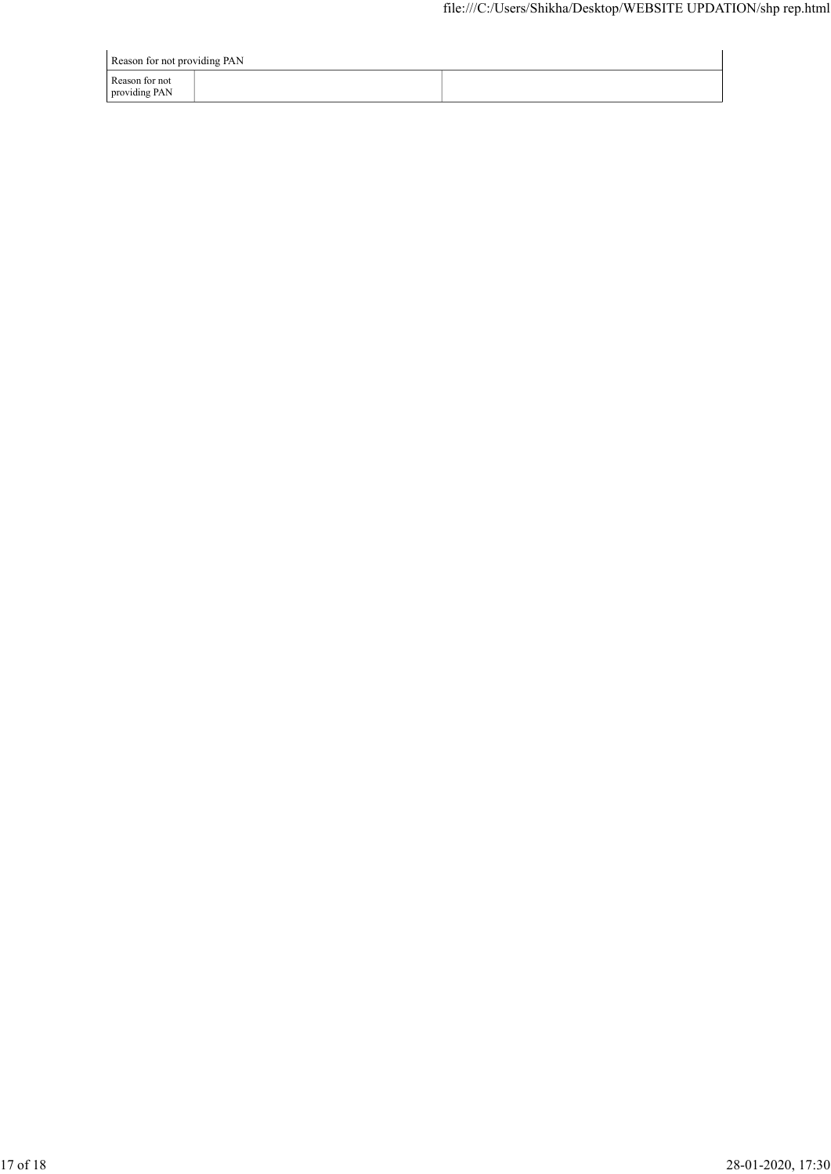| Reason for not providing PAN    |  |  |  |  |  |  |  |
|---------------------------------|--|--|--|--|--|--|--|
| Reason for not<br>providing PAN |  |  |  |  |  |  |  |